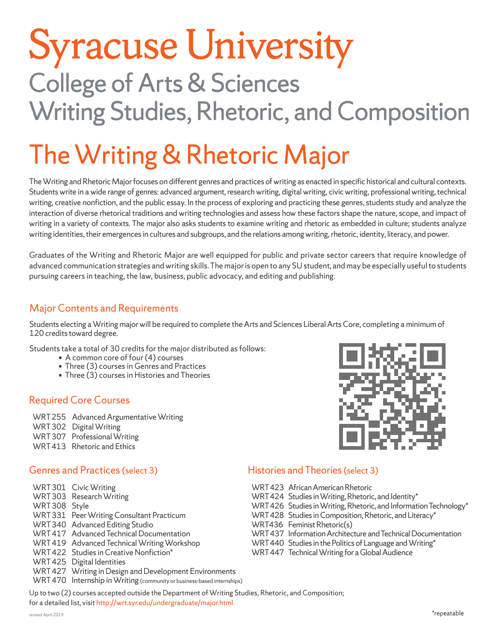### **Syracuse University College of Arts & Sciences Writing Studies, Rhetoric, and Composition**

### The Writing & Rhetoric Major

The Writing and Rhetoric Major focuses on different genres and practices of writing as enacted in specific historical and cultural contexts. Students write in a wide range of genres: advanced argument, research writing, digital writing, civic writing, professional writing, technical writing, creative nonfiction, and the public essay. In the process of exploring and practicing these genres, students study and analyze the interaction of diverse rhetorical traditions and writing technologies and assess how these factors shape the nature, scope, and impact of writing in a variety of contexts. The major also asks students to examine writing and rhetoric as embedded in culture; students analyze writing identities, their emergences in cultures and subgroups, and the relations among writing, rhetoric, identity, literacy, and power.

Graduates of the Writing and Rhetoric Major are well equipped for public and private sector careers that require knowledge of advanced communication strategies and writing skills. The major is open to any SU student, and may be especially useful to students pursuing careers in teaching, the law, business, public advocacy, and editing and publishing.

#### Major Contents and Requirements

Students electing a Writing major will be required to complete the Arts and Sciences Liberal Arts Core, completing a minimum of 120 credits toward degree.

Students take a total of 30 credits for the major distributed as follows:

- A common core of four (4) courses
- Three (3) courses in Genres and Practices
- Three (3) courses in Histories and Theories

#### Required Core Courses

WRT 255 Advanced Argumentative Writing WRT 302 Digital Writing WRT 307 Professional Writing WRT 413 Rhetoric and Ethics

#### Genres and Practices (select 3)

|              | WRT301 Civic Writing                                                    |
|--------------|-------------------------------------------------------------------------|
|              | WRT303 Research Writing                                                 |
| WRT308 Style |                                                                         |
|              | WRT 331 Peer Writing Consultant Practicum                               |
|              | WRT340 Advanced Editing Studio                                          |
|              | WRT 417 Advanced Technical Documentation                                |
|              | WRT 419 Advanced Technical Writing Workshop                             |
|              | WRT422 Studies in Creative Nonfiction*                                  |
|              | WRT425 Digital Identities                                               |
|              | WRT 427 Writing in Design and Development Environments                  |
|              | WRT 470 Internship in Writing (community or business-based internships) |
|              |                                                                         |



#### Histories and Theories (select 3)

| WRT 423 African American Rhetoric<br>WRT 424 Studies in Writing, Rhetoric, and Identity*<br>WRT 426 Studies in Writing, Rhetoric, and Information Technology*<br>WRT 428 Studies in Composition, Rhetoric, and Literacy* |
|--------------------------------------------------------------------------------------------------------------------------------------------------------------------------------------------------------------------------|
| WRT436 Feminist Rhetoric(s)<br>WRT 437 Information Architecture and Technical Documentation<br>WRT 440 Studies in the Politics of Language and Writing*<br>WRT 447 Technical Writing for a Global Audience               |

Up to two (2) courses accepted outside the Department of Writing Studies, Rhetoric, and Composition; for a detailed list, visit http://wrt.syr.edu/undergraduate/major.html